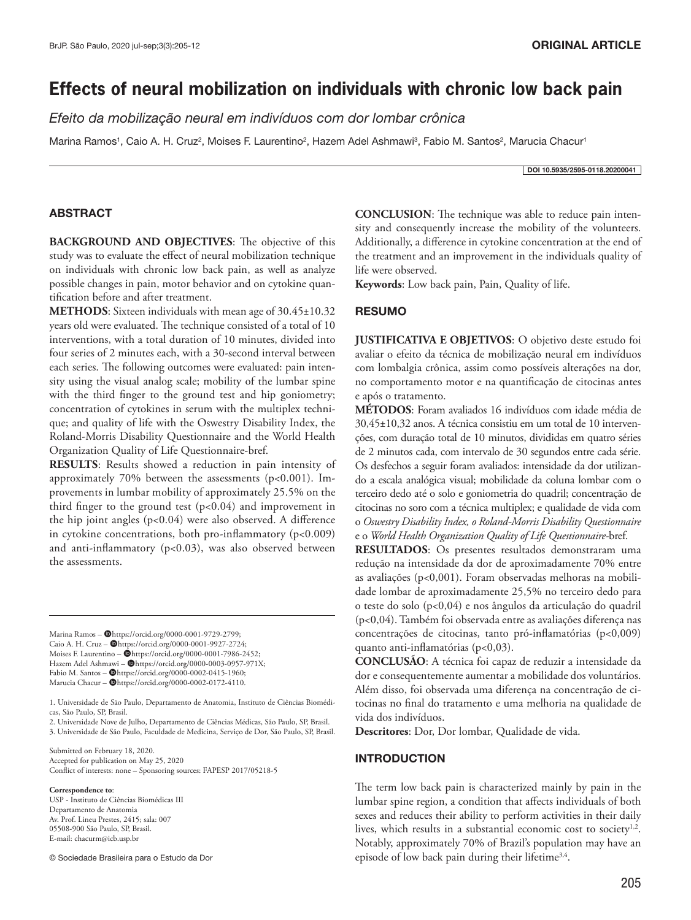# **Effects of neural mobilization on individuals with chronic low back pain**

*Efeito da mobilização neural em indivíduos com dor lombar crônica*

Marina Ramos<sup>1</sup>, Caio A. H. Cruz<sup>2</sup>, Moises F. Laurentino<sup>2</sup>, Hazem Adel Ashmawi<sup>3</sup>, Fabio M. Santos<sup>2</sup>, Marucia Chacur<sup>1</sup>

DOI 10.5935/2595-0118.20200041

### **ABSTRACT**

**BACKGROUND AND OBJECTIVES**: The objective of this study was to evaluate the effect of neural mobilization technique on individuals with chronic low back pain, as well as analyze possible changes in pain, motor behavior and on cytokine quantification before and after treatment.

**METHODS**: Sixteen individuals with mean age of 30.45±10.32 years old were evaluated. The technique consisted of a total of 10 interventions, with a total duration of 10 minutes, divided into four series of 2 minutes each, with a 30-second interval between each series. The following outcomes were evaluated: pain intensity using the visual analog scale; mobility of the lumbar spine with the third finger to the ground test and hip goniometry; concentration of cytokines in serum with the multiplex technique; and quality of life with the Oswestry Disability Index, the Roland-Morris Disability Questionnaire and the World Health Organization Quality of Life Questionnaire-bref.

**RESULTS**: Results showed a reduction in pain intensity of approximately 70% between the assessments ( $p$ <0.001). Improvements in lumbar mobility of approximately 25.5% on the third finger to the ground test  $(p<0.04)$  and improvement in the hip joint angles (p<0.04) were also observed. A difference in cytokine concentrations, both pro-inflammatory (p<0.009) and anti-inflammatory (p<0.03), was also observed between the assessments.

Marina Ramos - @https://orcid.org/0000-0001-9729-2799; Caio A. H. Cruz - @https://orcid.org/0000-0001-9927-2724; Moises F. Laurentino -  $\hat{\textbf{Q}}$ https://orcid.org/0000-0001-7986-2452; Hazem Adel Ashmawi -  $\blacksquare$ https://orcid.org/0000-0003-0957-971X; Fabio M. Santos - @https://orcid.org/0000-0002-0415-1960; Marucia Chacur -  $\blacksquare$ https://orcid.org/0000-0002-0172-4110.

1. Universidade de São Paulo, Departamento de Anatomia, Instituto de Ciências Biomédicas, São Paulo, SP, Brasil.

2. Universidade Nove de Julho, Departamento de Ciências Médicas, São Paulo, SP, Brasil. 3. Universidade de São Paulo, Faculdade de Medicina, Serviço de Dor, São Paulo, SP, Brasil.

Submitted on February 18, 2020. Accepted for publication on May 25, 2020 Conflict of interests: none – Sponsoring sources: FAPESP 2017/05218-5

**Correspondence to**:

USP - Instituto de Ciências Biomédicas III Departamento de Anatomia Av. Prof. Lineu Prestes, 2415; sala: 007 05508-900 São Paulo, SP, Brasil. E-mail: chacurm@icb.usp.br

© Sociedade Brasileira para o Estudo da Dor

**CONCLUSION**: The technique was able to reduce pain intensity and consequently increase the mobility of the volunteers. Additionally, a difference in cytokine concentration at the end of the treatment and an improvement in the individuals quality of life were observed.

**Keywords**: Low back pain, Pain, Quality of life.

### RESUMO

**JUSTIFICATIVA E OBJETIVOS**: O objetivo deste estudo foi avaliar o efeito da técnica de mobilização neural em indivíduos com lombalgia crônica, assim como possíveis alterações na dor, no comportamento motor e na quantificação de citocinas antes e após o tratamento.

**MÉTODOS**: Foram avaliados 16 indivíduos com idade média de 30,45±10,32 anos. A técnica consistiu em um total de 10 intervenções, com duração total de 10 minutos, divididas em quatro séries de 2 minutos cada, com intervalo de 30 segundos entre cada série. Os desfechos a seguir foram avaliados: intensidade da dor utilizando a escala analógica visual; mobilidade da coluna lombar com o terceiro dedo até o solo e goniometria do quadril; concentração de citocinas no soro com a técnica multiplex; e qualidade de vida com o *Oswestry Disability Index, o Roland-Morris Disability Questionnaire* e o *World Health Organization Quality of Life Questionnaire*-bref.

**RESULTADOS**: Os presentes resultados demonstraram uma redução na intensidade da dor de aproximadamente 70% entre as avaliações (p<0,001). Foram observadas melhoras na mobilidade lombar de aproximadamente 25,5% no terceiro dedo para o teste do solo (p<0,04) e nos ângulos da articulação do quadril (p<0,04). Também foi observada entre as avaliações diferença nas concentrações de citocinas, tanto pró-inflamatórias (p<0,009) quanto anti-inflamatórias (p<0,03).

**CONCLUSÃO**: A técnica foi capaz de reduzir a intensidade da dor e consequentemente aumentar a mobilidade dos voluntários. Além disso, foi observada uma diferença na concentração de citocinas no final do tratamento e uma melhoria na qualidade de vida dos indivíduos.

**Descritores**: Dor, Dor lombar, Qualidade de vida.

### **INTRODUCTION**

The term low back pain is characterized mainly by pain in the lumbar spine region, a condition that affects individuals of both sexes and reduces their ability to perform activities in their daily lives, which results in a substantial economic cost to society<sup>1,2</sup>. Notably, approximately 70% of Brazil's population may have an episode of low back pain during their lifetime<sup>3,4</sup>.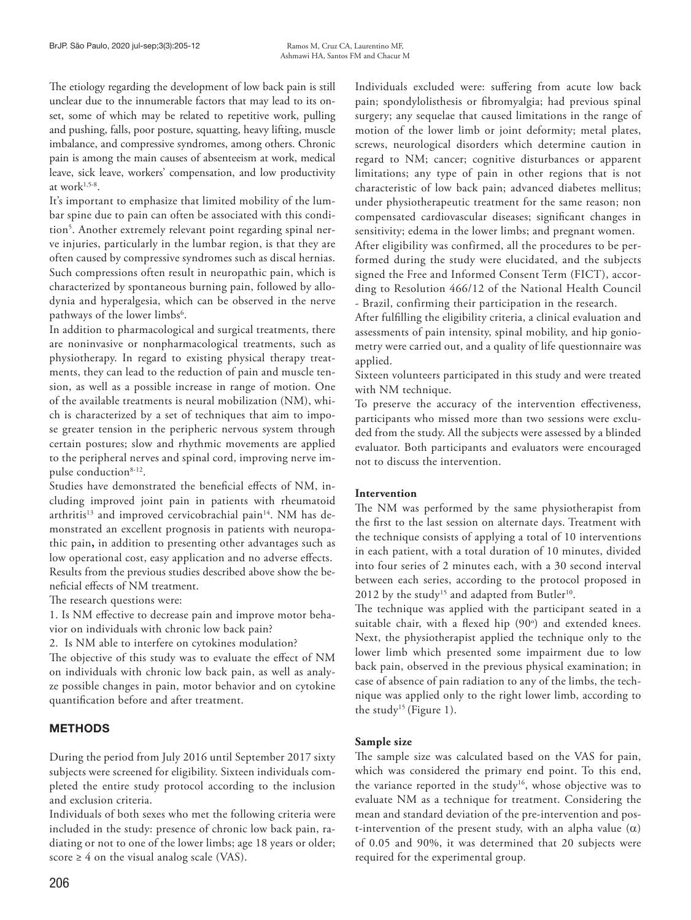The etiology regarding the development of low back pain is still unclear due to the innumerable factors that may lead to its onset, some of which may be related to repetitive work, pulling and pushing, falls, poor posture, squatting, heavy lifting, muscle imbalance, and compressive syndromes, among others. Chronic pain is among the main causes of absenteeism at work, medical leave, sick leave, workers' compensation, and low productivity at work $1,5-8$ .

It's important to emphasize that limited mobility of the lumbar spine due to pain can often be associated with this condition5 . Another extremely relevant point regarding spinal nerve injuries, particularly in the lumbar region, is that they are often caused by compressive syndromes such as discal hernias. Such compressions often result in neuropathic pain, which is characterized by spontaneous burning pain, followed by allodynia and hyperalgesia, which can be observed in the nerve pathways of the lower limbs<sup>6</sup>.

In addition to pharmacological and surgical treatments, there are noninvasive or nonpharmacological treatments, such as physiotherapy. In regard to existing physical therapy treatments, they can lead to the reduction of pain and muscle tension, as well as a possible increase in range of motion. One of the available treatments is neural mobilization (NM), which is characterized by a set of techniques that aim to impose greater tension in the peripheric nervous system through certain postures; slow and rhythmic movements are applied to the peripheral nerves and spinal cord, improving nerve impulse conduction<sup>8-12</sup>.

Studies have demonstrated the beneficial effects of NM, including improved joint pain in patients with rheumatoid arthritis<sup>13</sup> and improved cervicobrachial pain<sup>14</sup>. NM has demonstrated an excellent prognosis in patients with neuropathic pain**,** in addition to presenting other advantages such as low operational cost, easy application and no adverse effects. Results from the previous studies described above show the beneficial effects of NM treatment.

The research questions were:

1. Is NM effective to decrease pain and improve motor behavior on individuals with chronic low back pain?

2. Is NM able to interfere on cytokines modulation?

The objective of this study was to evaluate the effect of NM on individuals with chronic low back pain, as well as analyze possible changes in pain, motor behavior and on cytokine quantification before and after treatment.

# **METHODS**

During the period from July 2016 until September 2017 sixty subjects were screened for eligibility. Sixteen individuals completed the entire study protocol according to the inclusion and exclusion criteria.

Individuals of both sexes who met the following criteria were included in the study: presence of chronic low back pain, radiating or not to one of the lower limbs; age 18 years or older; score  $\geq 4$  on the visual analog scale (VAS).

206

Individuals excluded were: suffering from acute low back pain; spondylolisthesis or fibromyalgia; had previous spinal surgery; any sequelae that caused limitations in the range of motion of the lower limb or joint deformity; metal plates, screws, neurological disorders which determine caution in regard to NM; cancer; cognitive disturbances or apparent limitations; any type of pain in other regions that is not characteristic of low back pain; advanced diabetes mellitus; under physiotherapeutic treatment for the same reason; non compensated cardiovascular diseases; significant changes in sensitivity; edema in the lower limbs; and pregnant women.

After eligibility was confirmed, all the procedures to be performed during the study were elucidated, and the subjects signed the Free and Informed Consent Term (FICT), according to Resolution 466/12 of the National Health Council - Brazil, confirming their participation in the research.

After fulfilling the eligibility criteria, a clinical evaluation and assessments of pain intensity, spinal mobility, and hip goniometry were carried out, and a quality of life questionnaire was applied.

Sixteen volunteers participated in this study and were treated with NM technique.

To preserve the accuracy of the intervention effectiveness, participants who missed more than two sessions were excluded from the study. All the subjects were assessed by a blinded evaluator. Both participants and evaluators were encouraged not to discuss the intervention.

### **Intervention**

The NM was performed by the same physiotherapist from the first to the last session on alternate days. Treatment with the technique consists of applying a total of 10 interventions in each patient, with a total duration of 10 minutes, divided into four series of 2 minutes each, with a 30 second interval between each series, according to the protocol proposed in 2012 by the study<sup>15</sup> and adapted from Butler<sup>10</sup>.

The technique was applied with the participant seated in a suitable chair, with a flexed hip (90°) and extended knees. Next, the physiotherapist applied the technique only to the lower limb which presented some impairment due to low back pain, observed in the previous physical examination; in case of absence of pain radiation to any of the limbs, the technique was applied only to the right lower limb, according to the study<sup>15</sup> (Figure 1).

### **Sample size**

The sample size was calculated based on the VAS for pain, which was considered the primary end point. To this end, the variance reported in the study<sup>16</sup>, whose objective was to evaluate NM as a technique for treatment. Considering the mean and standard deviation of the pre-intervention and post-intervention of the present study, with an alpha value  $(\alpha)$ of 0.05 and 90%, it was determined that 20 subjects were required for the experimental group.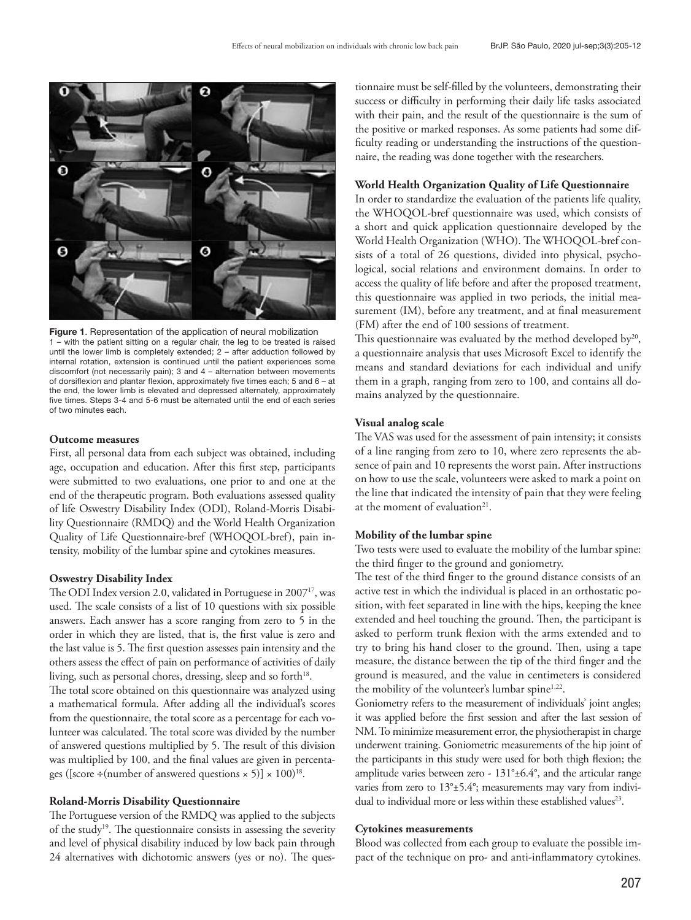

Figure 1. Representation of the application of neural mobilization 1 – with the patient sitting on a regular chair, the leg to be treated is raised until the lower limb is completely extended; 2 – after adduction followed by internal rotation, extension is continued until the patient experiences some discomfort (not necessarily pain); 3 and 4 – alternation between movements of dorsiflexion and plantar flexion, approximately five times each; 5 and 6 – at the end, the lower limb is elevated and depressed alternately, approximately five times. Steps 3-4 and 5-6 must be alternated until the end of each series of two minutes each.

### **Outcome measures**

First, all personal data from each subject was obtained, including age, occupation and education. After this first step, participants were submitted to two evaluations, one prior to and one at the end of the therapeutic program. Both evaluations assessed quality of life Oswestry Disability Index (ODI), Roland-Morris Disability Questionnaire (RMDQ) and the World Health Organization Quality of Life Questionnaire-bref (WHOQOL-bref), pain intensity, mobility of the lumbar spine and cytokines measures.

### **Oswestry Disability Index**

The ODI Index version 2.0, validated in Portuguese in 2007<sup>17</sup>, was used. The scale consists of a list of 10 questions with six possible answers. Each answer has a score ranging from zero to 5 in the order in which they are listed, that is, the first value is zero and the last value is 5. The first question assesses pain intensity and the others assess the effect of pain on performance of activities of daily living, such as personal chores, dressing, sleep and so forth<sup>18</sup>.

The total score obtained on this questionnaire was analyzed using a mathematical formula. After adding all the individual's scores from the questionnaire, the total score as a percentage for each volunteer was calculated. The total score was divided by the number of answered questions multiplied by 5. The result of this division was multiplied by 100, and the final values are given in percentages ([score ÷(number of answered questions  $\times$  5)]  $\times$  100)<sup>18</sup>.

# **Roland-Morris Disability Questionnaire**

The Portuguese version of the RMDQ was applied to the subjects of the study19. The questionnaire consists in assessing the severity and level of physical disability induced by low back pain through 24 alternatives with dichotomic answers (yes or no). The ques-

tionnaire must be self-filled by the volunteers, demonstrating their success or difficulty in performing their daily life tasks associated with their pain, and the result of the questionnaire is the sum of the positive or marked responses. As some patients had some difficulty reading or understanding the instructions of the questionnaire, the reading was done together with the researchers.

#### **World Health Organization Quality of Life Questionnaire**

In order to standardize the evaluation of the patients life quality, the WHOQOL-bref questionnaire was used, which consists of a short and quick application questionnaire developed by the World Health Organization (WHO). The WHOQOL-bref consists of a total of 26 questions, divided into physical, psychological, social relations and environment domains. In order to access the quality of life before and after the proposed treatment, this questionnaire was applied in two periods, the initial measurement (IM), before any treatment, and at final measurement (FM) after the end of 100 sessions of treatment.

This questionnaire was evaluated by the method developed by<sup>20</sup>, a questionnaire analysis that uses Microsoft Excel to identify the means and standard deviations for each individual and unify them in a graph, ranging from zero to 100, and contains all domains analyzed by the questionnaire.

### **Visual analog scale**

The VAS was used for the assessment of pain intensity; it consists of a line ranging from zero to 10, where zero represents the absence of pain and 10 represents the worst pain. After instructions on how to use the scale, volunteers were asked to mark a point on the line that indicated the intensity of pain that they were feeling at the moment of evaluation $21$ .

### **Mobility of the lumbar spine**

Two tests were used to evaluate the mobility of the lumbar spine: the third finger to the ground and goniometry.

The test of the third finger to the ground distance consists of an active test in which the individual is placed in an orthostatic position, with feet separated in line with the hips, keeping the knee extended and heel touching the ground. Then, the participant is asked to perform trunk flexion with the arms extended and to try to bring his hand closer to the ground. Then, using a tape measure, the distance between the tip of the third finger and the ground is measured, and the value in centimeters is considered the mobility of the volunteer's lumbar spine<sup>1,22</sup>.

Goniometry refers to the measurement of individuals' joint angles; it was applied before the first session and after the last session of NM. To minimize measurement error, the physiotherapist in charge underwent training. Goniometric measurements of the hip joint of the participants in this study were used for both thigh flexion; the amplitude varies between zero - 131°±6.4°, and the articular range varies from zero to  $13^{\circ}$ ±5.4°; measurements may vary from individual to individual more or less within these established values<sup>23</sup>.

### **Cytokines measurements**

Blood was collected from each group to evaluate the possible impact of the technique on pro- and anti-inflammatory cytokines.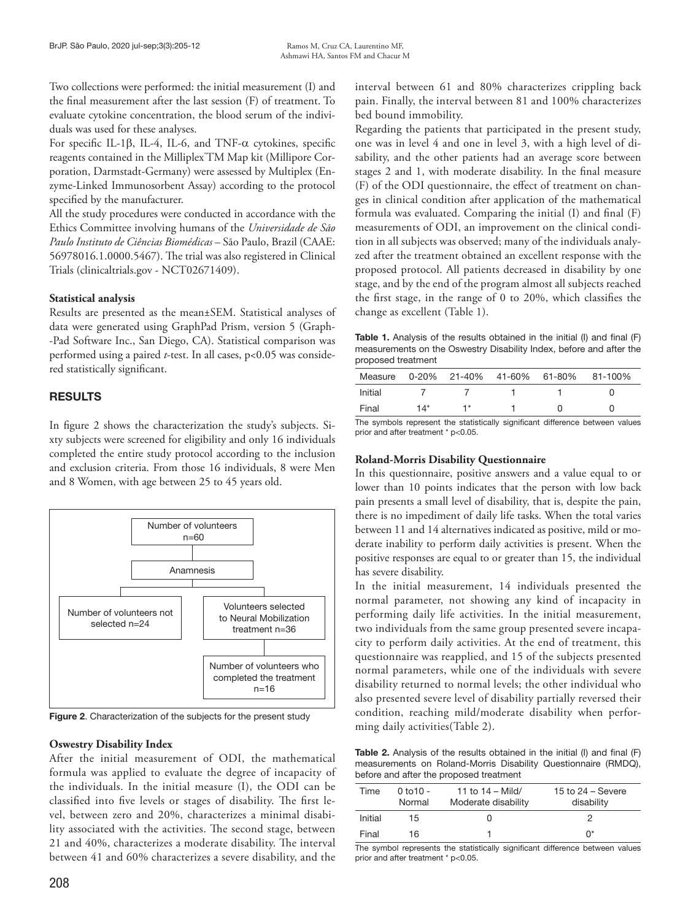Two collections were performed: the initial measurement (I) and the final measurement after the last session (F) of treatment. To evaluate cytokine concentration, the blood serum of the individuals was used for these analyses.

For specific IL-1β, IL-4, IL-6, and TNF-α cytokines, specific reagents contained in the Milliplex® TM Map kit (Millipore Corporation, Darmstadt-Germany) were assessed by Multiplex (Enzyme-Linked Immunosorbent Assay) according to the protocol specified by the manufacturer.

All the study procedures were conducted in accordance with the Ethics Committee involving humans of the *Universidade de São Paulo Instituto de Ciências Biomédicas* – São Paulo, Brazil (CAAE: 56978016.1.0000.5467). The trial was also registered in Clinical Trials (clinicaltrials.gov - NCT02671409).

# **Statistical analysis**

Results are presented as the mean±SEM. Statistical analyses of data were generated using GraphPad Prism, version 5 (Graph- -Pad Software Inc., San Diego, CA). Statistical comparison was performed using a paired *t*-test. In all cases, p<0.05 was considered statistically significant.

# **RESULTS**

In figure 2 shows the characterization the study's subjects. Sixty subjects were screened for eligibility and only 16 individuals completed the entire study protocol according to the inclusion and exclusion criteria. From those 16 individuals, 8 were Men and 8 Women, with age between 25 to 45 years old.



Figure 2. Characterization of the subjects for the present study

# **Oswestry Disability Index**

After the initial measurement of ODI, the mathematical formula was applied to evaluate the degree of incapacity of the individuals. In the initial measure (I), the ODI can be classified into five levels or stages of disability. The first level, between zero and 20%, characterizes a minimal disability associated with the activities. The second stage, between 21 and 40%, characterizes a moderate disability. The interval between 41 and 60% characterizes a severe disability, and the

interval between 61 and 80% characterizes crippling back pain. Finally, the interval between 81 and 100% characterizes bed bound immobility.

Regarding the patients that participated in the present study, one was in level 4 and one in level 3, with a high level of disability, and the other patients had an average score between stages 2 and 1, with moderate disability. In the final measure (F) of the ODI questionnaire, the effect of treatment on changes in clinical condition after application of the mathematical formula was evaluated. Comparing the initial (I) and final (F) measurements of ODI, an improvement on the clinical condition in all subjects was observed; many of the individuals analyzed after the treatment obtained an excellent response with the proposed protocol. All patients decreased in disability by one stage, and by the end of the program almost all subjects reached the first stage, in the range of 0 to 20%, which classifies the change as excellent (Table 1).

Table 1. Analysis of the results obtained in the initial (I) and final (F) measurements on the Oswestry Disability Index, before and after the proposed treatment

| Measure |       |    |  | 0-20% 21-40% 41-60% 61-80% 81-100% |
|---------|-------|----|--|------------------------------------|
| Initial |       |    |  |                                    |
| Final   | $14*$ | 1* |  |                                    |

The symbols represent the statistically significant difference between values prior and after treatment \* p<0.05.

# **Roland-Morris Disability Questionnaire**

In this questionnaire, positive answers and a value equal to or lower than 10 points indicates that the person with low back pain presents a small level of disability, that is, despite the pain, there is no impediment of daily life tasks. When the total varies between 11 and 14 alternatives indicated as positive, mild or moderate inability to perform daily activities is present. When the positive responses are equal to or greater than 15, the individual has severe disability.

In the initial measurement, 14 individuals presented the normal parameter, not showing any kind of incapacity in performing daily life activities. In the initial measurement, two individuals from the same group presented severe incapacity to perform daily activities. At the end of treatment, this questionnaire was reapplied, and 15 of the subjects presented normal parameters, while one of the individuals with severe disability returned to normal levels; the other individual who also presented severe level of disability partially reversed their condition, reaching mild/moderate disability when performing daily activities(Table 2).

Table 2. Analysis of the results obtained in the initial (I) and final (F) measurements on Roland-Morris Disability Questionnaire (RMDQ), before and after the proposed treatment

| Time    | $0 to 10 -$<br>Normal | 11 to $14 -$ Mild/<br>Moderate disability | 15 to $24 -$ Severe<br>disability |
|---------|-----------------------|-------------------------------------------|-----------------------------------|
| Initial | 15                    |                                           |                                   |
| Final   | 16                    |                                           | n*                                |

The symbol represents the statistically significant difference between values prior and after treatment \* p<0.05.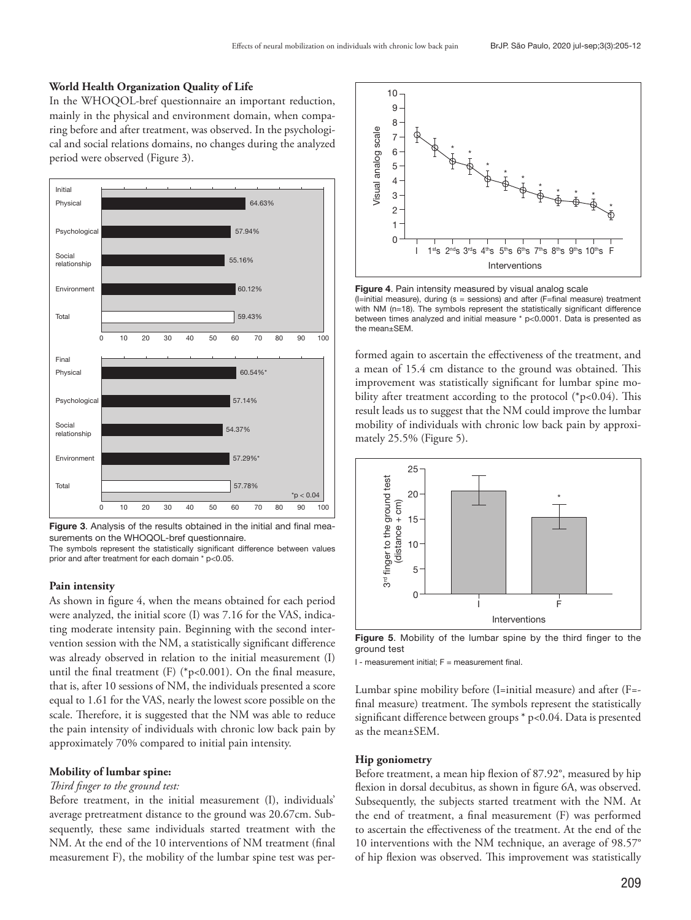#### **World Health Organization Quality of Life**

In the WHOQOL-bref questionnaire an important reduction, mainly in the physical and environment domain, when comparing before and after treatment, was observed. In the psychological and social relations domains, no changes during the analyzed period were observed (Figure 3).



Figure 3. Analysis of the results obtained in the initial and final measurements on the WHOQOL-bref questionnaire.

The symbols represent the statistically significant difference between values prior and after treatment for each domain \* p<0.05.

#### **Pain intensity**

As shown in figure 4, when the means obtained for each period were analyzed, the initial score (I) was 7.16 for the VAS, indicating moderate intensity pain. Beginning with the second intervention session with the NM, a statistically significant difference was already observed in relation to the initial measurement (I) until the final treatment (F) (\*p<0.001). On the final measure, that is, after 10 sessions of NM, the individuals presented a score equal to 1.61 for the VAS, nearly the lowest score possible on the scale. Therefore, it is suggested that the NM was able to reduce the pain intensity of individuals with chronic low back pain by approximately 70% compared to initial pain intensity.

#### **Mobility of lumbar spine:**

#### *Third finger to the ground test:*

Before treatment, in the initial measurement (I), individuals' average pretreatment distance to the ground was 20.67cm. Subsequently, these same individuals started treatment with the NM. At the end of the 10 interventions of NM treatment (final measurement F), the mobility of the lumbar spine test was per-



Figure 4. Pain intensity measured by visual analog scale (I=initial measure), during (s = sessions) and after (F=final measure) treatment with NM (n=18). The symbols represent the statistically significant difference between times analyzed and initial measure \* p<0.0001. Data is presented as the mean±SEM.

formed again to ascertain the effectiveness of the treatment, and a mean of 15.4 cm distance to the ground was obtained. This improvement was statistically significant for lumbar spine mobility after treatment according to the protocol (\*p<0.04). This result leads us to suggest that the NM could improve the lumbar mobility of individuals with chronic low back pain by approximately 25.5% (Figure 5).



Figure 5. Mobility of the lumbar spine by the third finger to the ground test

 $I$  - measurement initial;  $F =$  measurement final.

Lumbar spine mobility before (I=initial measure) and after (F= final measure) treatment. The symbols represent the statistically significant difference between groups \* p<0.04. Data is presented as the mean±SEM.

#### **Hip goniometry**

Before treatment, a mean hip flexion of 87.92°, measured by hip flexion in dorsal decubitus, as shown in figure 6A, was observed. Subsequently, the subjects started treatment with the NM. At the end of treatment, a final measurement (F) was performed to ascertain the effectiveness of the treatment. At the end of the 10 interventions with the NM technique, an average of 98.57° of hip flexion was observed. This improvement was statistically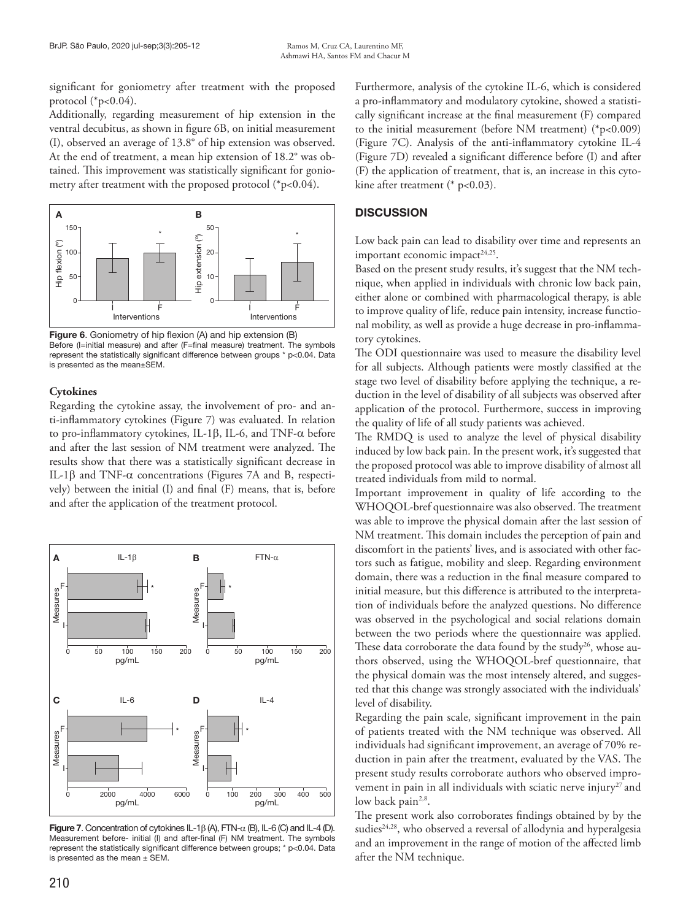significant for goniometry after treatment with the proposed protocol  $(*p<0.04)$ .

Additionally, regarding measurement of hip extension in the ventral decubitus, as shown in figure 6B, on initial measurement (I), observed an average of 13.8° of hip extension was observed. At the end of treatment, a mean hip extension of 18.2° was obtained. This improvement was statistically significant for goniometry after treatment with the proposed protocol (\*p<0.04).



Figure 6. Goniometry of hip flexion (A) and hip extension (B) Before (I=initial measure) and after (F=final measure) treatment. The symbols represent the statistically significant difference between groups \* p<0.04. Data is presented as the mean±SEM.

# **Cytokines**

Regarding the cytokine assay, the involvement of pro- and anti-inflammatory cytokines (Figure 7) was evaluated. In relation to pro-inflammatory cytokines, IL-1β, IL-6, and TNF-α before and after the last session of NM treatment were analyzed. The results show that there was a statistically significant decrease in IL-1β and TNF-α concentrations (Figures 7A and B, respectively) between the initial (I) and final (F) means, that is, before and after the application of the treatment protocol.



Figure 7. Concentration of cytokines IL-1 $\beta$  (A), FTN- $\alpha$  (B), IL-6 (C) and IL-4 (D). Measurement before- initial (I) and after-final (F) NM treatment. The symbols represent the statistically significant difference between groups; \* p<0.04. Data is presented as the mean  $\pm$  SEM.

Furthermore, analysis of the cytokine IL-6, which is considered a pro-inflammatory and modulatory cytokine, showed a statistically significant increase at the final measurement (F) compared to the initial measurement (before NM treatment) (\*p<0.009) (Figure 7C). Analysis of the anti-inflammatory cytokine IL-4 (Figure 7D) revealed a significant difference before (I) and after (F) the application of treatment, that is, an increase in this cytokine after treatment (\* p<0.03).

# **DISCUSSION**

Low back pain can lead to disability over time and represents an important economic impact<sup>24,25</sup>.

Based on the present study results, it's suggest that the NM technique, when applied in individuals with chronic low back pain, either alone or combined with pharmacological therapy, is able to improve quality of life, reduce pain intensity, increase functional mobility, as well as provide a huge decrease in pro-inflammatory cytokines.

The ODI questionnaire was used to measure the disability level for all subjects. Although patients were mostly classified at the stage two level of disability before applying the technique, a reduction in the level of disability of all subjects was observed after application of the protocol. Furthermore, success in improving the quality of life of all study patients was achieved.

The RMDQ is used to analyze the level of physical disability induced by low back pain. In the present work, it's suggested that the proposed protocol was able to improve disability of almost all treated individuals from mild to normal.

Important improvement in quality of life according to the WHOQOL-bref questionnaire was also observed. The treatment was able to improve the physical domain after the last session of NM treatment. This domain includes the perception of pain and discomfort in the patients' lives, and is associated with other factors such as fatigue, mobility and sleep. Regarding environment domain, there was a reduction in the final measure compared to initial measure, but this difference is attributed to the interpretation of individuals before the analyzed questions. No difference was observed in the psychological and social relations domain between the two periods where the questionnaire was applied. These data corroborate the data found by the study<sup>26</sup>, whose authors observed, using the WHOQOL-bref questionnaire, that the physical domain was the most intensely altered, and suggested that this change was strongly associated with the individuals' level of disability.

Regarding the pain scale, significant improvement in the pain of patients treated with the NM technique was observed. All individuals had significant improvement, an average of 70% reduction in pain after the treatment, evaluated by the VAS. The present study results corroborate authors who observed improvement in pain in all individuals with sciatic nerve injury<sup>27</sup> and low back pain<sup>2,8</sup>.

The present work also corroborates findings obtained by by the sudies<sup>24,28</sup>, who observed a reversal of allodynia and hyperalgesia and an improvement in the range of motion of the affected limb after the NM technique.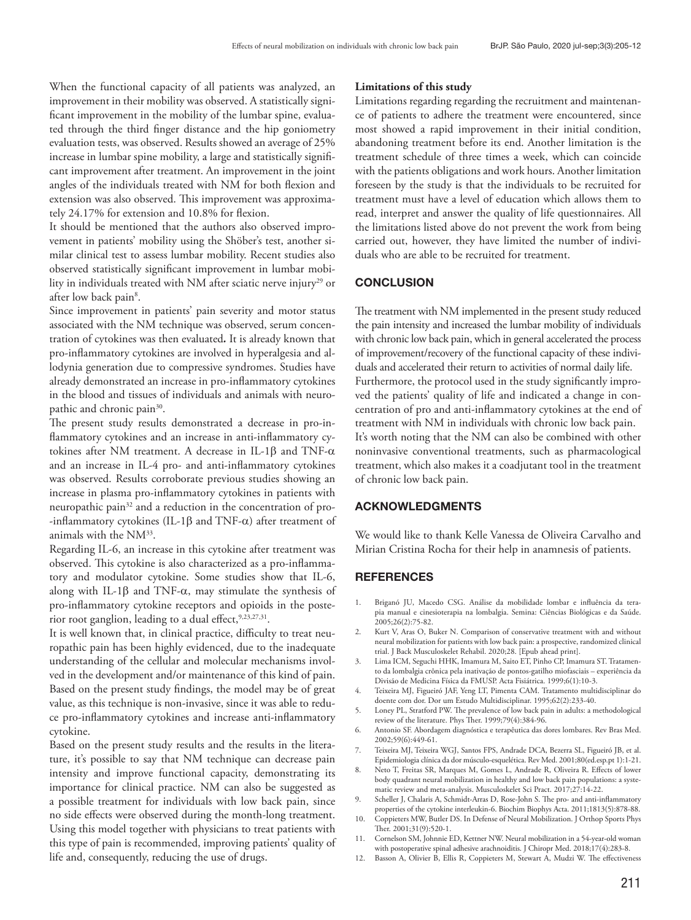When the functional capacity of all patients was analyzed, an improvement in their mobility was observed. A statistically significant improvement in the mobility of the lumbar spine, evaluated through the third finger distance and the hip goniometry evaluation tests, was observed. Results showed an average of 25% increase in lumbar spine mobility, a large and statistically significant improvement after treatment. An improvement in the joint angles of the individuals treated with NM for both flexion and extension was also observed. This improvement was approximately 24.17% for extension and 10.8% for flexion.

It should be mentioned that the authors also observed improvement in patients' mobility using the Shöber's test, another similar clinical test to assess lumbar mobility. Recent studies also observed statistically significant improvement in lumbar mobility in individuals treated with NM after sciatic nerve injury<sup>29</sup> or after low back pain<sup>8</sup>.

Since improvement in patients' pain severity and motor status associated with the NM technique was observed, serum concentration of cytokines was then evaluated*.* It is already known that pro-inflammatory cytokines are involved in hyperalgesia and allodynia generation due to compressive syndromes. Studies have already demonstrated an increase in pro-inflammatory cytokines in the blood and tissues of individuals and animals with neuropathic and chronic pain<sup>30</sup>.

The present study results demonstrated a decrease in pro-inflammatory cytokines and an increase in anti-inflammatory cytokines after NM treatment. A decrease in IL-1β and TNF-α and an increase in IL-4 pro- and anti-inflammatory cytokines was observed. Results corroborate previous studies showing an increase in plasma pro-inflammatory cytokines in patients with neuropathic pain<sup>32</sup> and a reduction in the concentration of pro--inflammatory cytokines (IL-1β and TNF-α) after treatment of animals with the NM<sup>33</sup>.

Regarding IL-6, an increase in this cytokine after treatment was observed. This cytokine is also characterized as a pro-inflammatory and modulator cytokine. Some studies show that IL-6, along with IL-1 $\beta$  and TNF- $\alpha$ , may stimulate the synthesis of pro-inflammatory cytokine receptors and opioids in the posterior root ganglion, leading to a dual effect, 9,23,27,31.

It is well known that, in clinical practice, difficulty to treat neuropathic pain has been highly evidenced, due to the inadequate understanding of the cellular and molecular mechanisms involved in the development and/or maintenance of this kind of pain. Based on the present study findings, the model may be of great value, as this technique is non-invasive, since it was able to reduce pro-inflammatory cytokines and increase anti-inflammatory cytokine.

Based on the present study results and the results in the literature, it's possible to say that NM technique can decrease pain intensity and improve functional capacity, demonstrating its importance for clinical practice. NM can also be suggested as a possible treatment for individuals with low back pain, since no side effects were observed during the month-long treatment. Using this model together with physicians to treat patients with this type of pain is recommended, improving patients' quality of life and, consequently, reducing the use of drugs.

#### **Limitations of this study**

Limitations regarding regarding the recruitment and maintenance of patients to adhere the treatment were encountered, since most showed a rapid improvement in their initial condition, abandoning treatment before its end. Another limitation is the treatment schedule of three times a week, which can coincide with the patients obligations and work hours. Another limitation foreseen by the study is that the individuals to be recruited for treatment must have a level of education which allows them to read, interpret and answer the quality of life questionnaires. All the limitations listed above do not prevent the work from being carried out, however, they have limited the number of individuals who are able to be recruited for treatment.

### **CONCLUSION**

The treatment with NM implemented in the present study reduced the pain intensity and increased the lumbar mobility of individuals with chronic low back pain, which in general accelerated the process of improvement/recovery of the functional capacity of these individuals and accelerated their return to activities of normal daily life. Furthermore, the protocol used in the study significantly improved the patients' quality of life and indicated a change in concentration of pro and anti-inflammatory cytokines at the end of treatment with NM in individuals with chronic low back pain. It's worth noting that the NM can also be combined with other noninvasive conventional treatments, such as pharmacological treatment, which also makes it a coadjutant tool in the treatment of chronic low back pain.

### ACKNOWLEDGMENTS

We would like to thank Kelle Vanessa de Oliveira Carvalho and Mirian Cristina Rocha for their help in anamnesis of patients.

### **REFERENCES**

- 1. Briganó JU, Macedo CSG. Análise da mobilidade lombar e influência da terapia manual e cinesioterapia na lombalgia. Semina: Ciências Biológicas e da Saúde. 2005;26(2):75-82.
- 2. Kurt V, Aras O, Buker N. Comparison of conservative treatment with and without neural mobilization for patients with low back pain: a prospective, randomized clinical trial. J Back Musculoskelet Rehabil. 2020;28. [Epub ahead print].
- 3. Lima ICM, Seguchi HHK, Imamura M, Saito ET, Pinho CP, Imamura ST. Tratamento da lombalgia crônica pela inativação de pontos-gatilho miofasciais – experiência da Divisão de Medicina Física da FMUSP. Acta Fisiátrica. 1999;6(1):10-3.
- 4. Teixeira MJ, Figueiró JAF, Yeng LT, Pimenta CAM. Tratamento multidisciplinar do doente com dor. Dor um Estudo Multidisciplinar. 1995;62(2):233-40.
- 5. Loney PL, Stratford PW. The prevalence of low back pain in adults: a methodological review of the literature. Phys Ther. 1999;79(4):384-96.
- 6. Antonio SF. Abordagem diagnóstica e terapêutica das dores lombares. Rev Bras Med. 2002;59(6):449-61.
- 7. Teixeira MJ, Teixeira WGJ, Santos FPS, Andrade DCA, Bezerra SL, Figueiró JB, et al. Epidemiologia clínica da dor músculo-esquelética. Rev Med. 2001;80(ed.esp.pt 1):1-21.
- 8. Neto T, Freitas SR, Marques M, Gomes L, Andrade R, Oliveira R. Effects of lower body quadrant neural mobilization in healthy and low back pain populations: a systematic review and meta-analysis. Musculoskelet Sci Pract. 2017;27:14-22.
- 9. Scheller J, Chalaris A, Schmidt-Arras D, Rose-John S. The pro- and anti-inflammatory properties of the cytokine interleukin-6. Biochim Biophys Acta. 2011;1813(5):878-88.
- 10. Coppieters MW, Butler DS. In Defense of Neural Mobilization. J Orthop Sports Phys Ther. 2001;31(9):520-1.
- 11. Cornelson SM, Johnnie ED, Kettner NW. Neural mobilization in a 54-year-old woman with postoperative spinal adhesive arachnoiditis. J Chiropr Med. 2018;17(4):283-8.
- 12. Basson A, Olivier B, Ellis R, Coppieters M, Stewart A, Mudzi W. The effectiveness